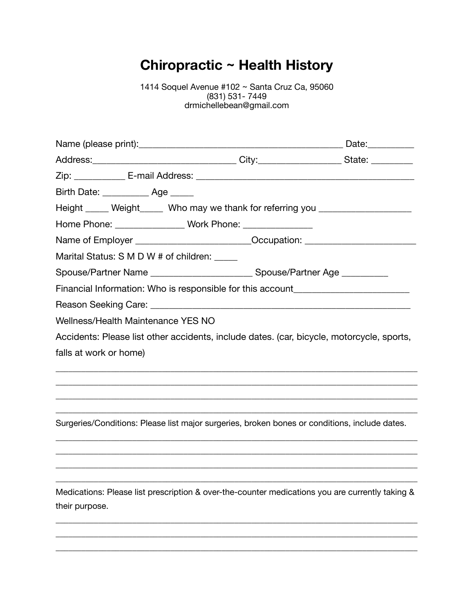# **Chiropractic ~ Health History**

1414 Soquel Avenue #102 ~ Santa Cruz Ca, 95060 (831) 531- 7449 drmichellebean@gmail.com

| Address:__________________________________City:____________________State: ____________                            |  |
|-------------------------------------------------------------------------------------------------------------------|--|
|                                                                                                                   |  |
| Birth Date: ______________ Age ______                                                                             |  |
| Height _____ Weight_____ Who may we thank for referring you ____________________                                  |  |
| Home Phone: __________________ Work Phone: ________________                                                       |  |
| Name of Employer ________________________________Occupation: ___________________                                  |  |
| Marital Status: S M D W # of children:                                                                            |  |
| Spouse/Partner Name ________________________________Spouse/Partner Age _________                                  |  |
| Financial Information: Who is responsible for this account______________________                                  |  |
|                                                                                                                   |  |
| Wellness/Health Maintenance YES NO                                                                                |  |
| Accidents: Please list other accidents, include dates. (car, bicycle, motorcycle, sports,                         |  |
| falls at work or home)                                                                                            |  |
|                                                                                                                   |  |
|                                                                                                                   |  |
|                                                                                                                   |  |
| Surgeries/Conditions: Please list major surgeries, broken bones or conditions, include dates.                     |  |
|                                                                                                                   |  |
|                                                                                                                   |  |
| Medications: Please list prescription & over-the-counter medications you are currently taking &<br>their purpose. |  |
|                                                                                                                   |  |

\_\_\_\_\_\_\_\_\_\_\_\_\_\_\_\_\_\_\_\_\_\_\_\_\_\_\_\_\_\_\_\_\_\_\_\_\_\_\_\_\_\_\_\_\_\_\_\_\_\_\_\_\_\_\_\_\_\_\_\_\_\_\_\_\_\_\_\_\_\_\_\_\_\_\_\_\_\_\_\_\_\_\_\_\_ \_\_\_\_\_\_\_\_\_\_\_\_\_\_\_\_\_\_\_\_\_\_\_\_\_\_\_\_\_\_\_\_\_\_\_\_\_\_\_\_\_\_\_\_\_\_\_\_\_\_\_\_\_\_\_\_\_\_\_\_\_\_\_\_\_\_\_\_\_\_\_\_\_\_\_\_\_\_\_\_\_\_\_\_\_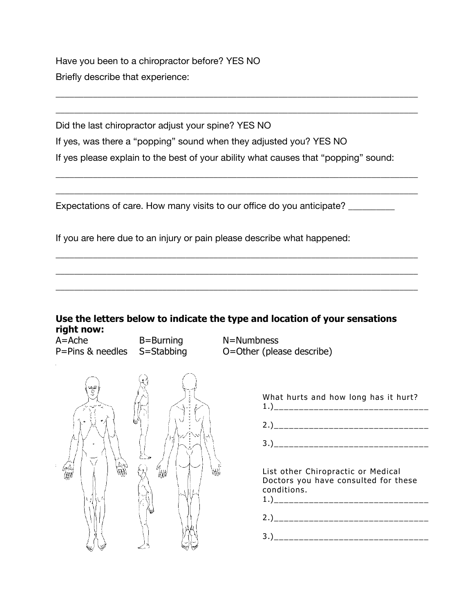Have you been to a chiropractor before? YES NO Briefly describe that experience:

Did the last chiropractor adjust your spine? YES NO If yes, was there a "popping" sound when they adjusted you? YES NO If yes please explain to the best of your ability what causes that "popping" sound:

\_\_\_\_\_\_\_\_\_\_\_\_\_\_\_\_\_\_\_\_\_\_\_\_\_\_\_\_\_\_\_\_\_\_\_\_\_\_\_\_\_\_\_\_\_\_\_\_\_\_\_\_\_\_\_\_\_\_\_\_\_\_\_\_\_\_\_\_\_\_\_\_\_\_\_\_\_\_

\_\_\_\_\_\_\_\_\_\_\_\_\_\_\_\_\_\_\_\_\_\_\_\_\_\_\_\_\_\_\_\_\_\_\_\_\_\_\_\_\_\_\_\_\_\_\_\_\_\_\_\_\_\_\_\_\_\_\_\_\_\_\_\_\_\_\_\_\_\_\_\_\_\_\_\_\_\_

\_\_\_\_\_\_\_\_\_\_\_\_\_\_\_\_\_\_\_\_\_\_\_\_\_\_\_\_\_\_\_\_\_\_\_\_\_\_\_\_\_\_\_\_\_\_\_\_\_\_\_\_\_\_\_\_\_\_\_\_\_\_\_\_\_\_\_\_\_\_\_\_\_\_\_\_\_\_

\_\_\_\_\_\_\_\_\_\_\_\_\_\_\_\_\_\_\_\_\_\_\_\_\_\_\_\_\_\_\_\_\_\_\_\_\_\_\_\_\_\_\_\_\_\_\_\_\_\_\_\_\_\_\_\_\_\_\_\_\_\_\_\_\_\_\_\_\_\_\_\_\_\_\_\_\_\_

\_\_\_\_\_\_\_\_\_\_\_\_\_\_\_\_\_\_\_\_\_\_\_\_\_\_\_\_\_\_\_\_\_\_\_\_\_\_\_\_\_\_\_\_\_\_\_\_\_\_\_\_\_\_\_\_\_\_\_\_\_\_\_\_\_\_\_\_\_\_\_\_\_\_\_\_\_\_

\_\_\_\_\_\_\_\_\_\_\_\_\_\_\_\_\_\_\_\_\_\_\_\_\_\_\_\_\_\_\_\_\_\_\_\_\_\_\_\_\_\_\_\_\_\_\_\_\_\_\_\_\_\_\_\_\_\_\_\_\_\_\_\_\_\_\_\_\_\_\_\_\_\_\_\_\_\_

\_\_\_\_\_\_\_\_\_\_\_\_\_\_\_\_\_\_\_\_\_\_\_\_\_\_\_\_\_\_\_\_\_\_\_\_\_\_\_\_\_\_\_\_\_\_\_\_\_\_\_\_\_\_\_\_\_\_\_\_\_\_\_\_\_\_\_\_\_\_\_\_\_\_\_\_\_\_

Expectations of care. How many visits to our office do you anticipate?

If you are here due to an injury or pain please describe what happened:

#### **Use the letters below to indicate the type and location of your sensations right now:**

A=Ache B=Burning N=Numbness P=Pins & needles S=Stabbing O=Other (please describe)

| Ŗ<br>÷,<br>o<br>儼<br>í<br>и | 焩<br>ť<br>ś<br>₩ | e cantonen<br>ľ,<br>v<br>ú<br>a<br>ч |
|-----------------------------|------------------|--------------------------------------|
|                             | €.,              |                                      |

| What hurts and how long has it hurt? |  |  |  |  |
|--------------------------------------|--|--|--|--|
| 2.)________________________          |  |  |  |  |
| 3.)_______________________           |  |  |  |  |

List other Chiropractic or Medical Doctors you have consulted for these conditions.

3.)\_\_\_\_\_\_\_\_\_\_\_\_\_\_\_\_\_\_\_\_\_\_\_\_\_\_\_\_\_\_\_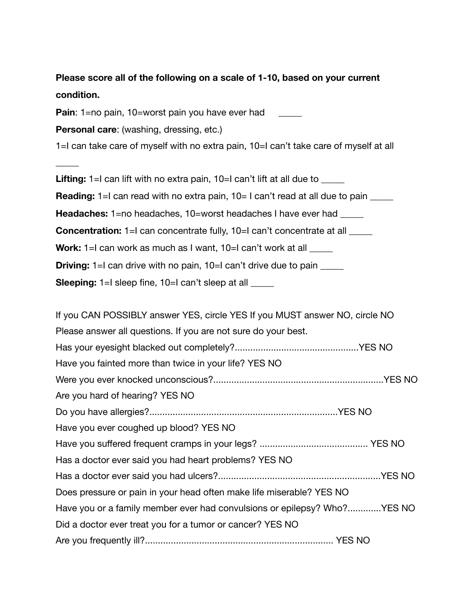**Please score all of the following on a scale of 1-10, based on your current condition. Pain**: 1=no pain, 10=worst pain you have ever had **Personal care**: (washing, dressing, etc.) 1=I can take care of myself with no extra pain, 10=I can't take care of myself at all \_\_\_\_\_ Lifting: 1=I can lift with no extra pain, 10=I can't lift at all due to **Reading:** 1=I can read with no extra pain, 10= I can't read at all due to pain **Headaches:** 1=no headaches, 10=worst headaches I have ever had **Concentration:** 1=I can concentrate fully, 10=I can't concentrate at all \_\_\_\_\_ **Work:** 1=I can work as much as I want, 10=I can't work at all **Driving:** 1=I can drive with no pain, 10=I can't drive due to pain **Sleeping:** 1=I sleep fine, 10=I can't sleep at all If you CAN POSSIBLY answer YES, circle YES If you MUST answer NO, circle NO Please answer all questions. If you are not sure do your best. Has your eyesight blacked out completely?................................................YES NO Have you fainted more than twice in your life? YES NO Were you ever knocked unconscious?..................................................................YES NO Are you hard of hearing? YES NO Do you have allergies?.........................................................................YES NO Have you ever coughed up blood? YES NO Have you suffered frequent cramps in your legs? .......................................... YES NO Has a doctor ever said you had heart problems? YES NO Has a doctor ever said you had ulcers?...............................................................YES NO Does pressure or pain in your head often make life miserable? YES NO Have you or a family member ever had convulsions or epilepsy? Who?.............YES NO Did a doctor ever treat you for a tumor or cancer? YES NO Are you frequently ill?......................................................................... YES NO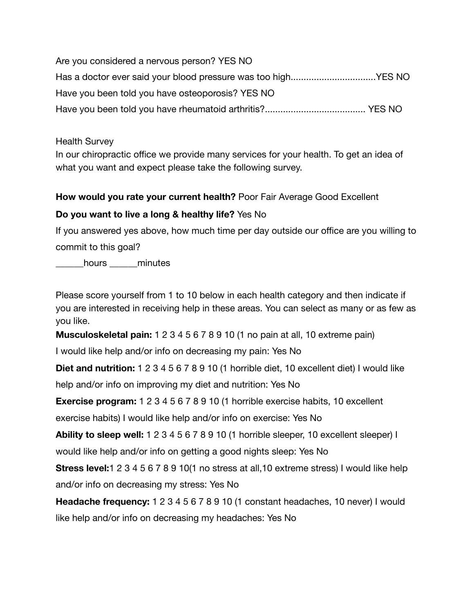Are you considered a nervous person? YES NO Has a doctor ever said your blood pressure was too high..................................YES NO Have you been told you have osteoporosis? YES NO Have you been told you have rheumatoid arthritis?....................................... YES NO

Health Survey

In our chiropractic office we provide many services for your health. To get an idea of what you want and expect please take the following survey.

#### **How would you rate your current health?** Poor Fair Average Good Excellent

#### **Do you want to live a long & healthy life?** Yes No

If you answered yes above, how much time per day outside our office are you willing to commit to this goal?

\_\_\_\_\_\_hours \_\_\_\_\_\_minutes

Please score yourself from 1 to 10 below in each health category and then indicate if you are interested in receiving help in these areas. You can select as many or as few as you like.

**Musculoskeletal pain:** 1 2 3 4 5 6 7 8 9 10 (1 no pain at all, 10 extreme pain)

I would like help and/or info on decreasing my pain: Yes No

**Diet and nutrition:** 1 2 3 4 5 6 7 8 9 10 (1 horrible diet, 10 excellent diet) I would like

help and/or info on improving my diet and nutrition: Yes No

**Exercise program:** 1 2 3 4 5 6 7 8 9 10 (1 horrible exercise habits, 10 excellent

exercise habits) I would like help and/or info on exercise: Yes No

**Ability to sleep well:** 1 2 3 4 5 6 7 8 9 10 (1 horrible sleeper, 10 excellent sleeper) I would like help and/or info on getting a good nights sleep: Yes No

**Stress level:**1 2 3 4 5 6 7 8 9 10(1 no stress at all,10 extreme stress) I would like help and/or info on decreasing my stress: Yes No

**Headache frequency:** 1 2 3 4 5 6 7 8 9 10 (1 constant headaches, 10 never) I would like help and/or info on decreasing my headaches: Yes No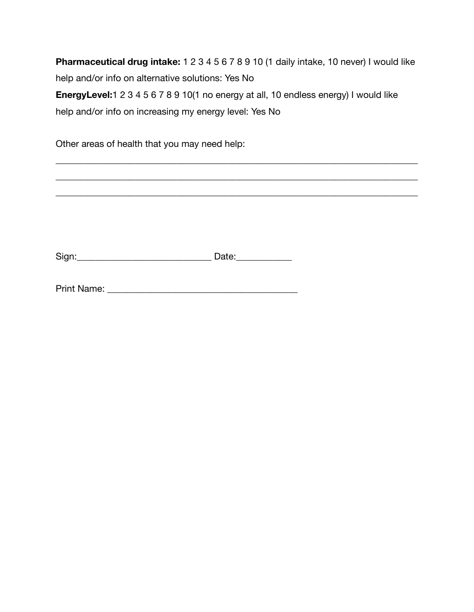**Pharmaceutical drug intake:** 1 2 3 4 5 6 7 8 9 10 (1 daily intake, 10 never) I would like help and/or info on alternative solutions: Yes No **EnergyLevel:**1 2 3 4 5 6 7 8 9 10(1 no energy at all, 10 endless energy) I would like help and/or info on increasing my energy level: Yes No

\_\_\_\_\_\_\_\_\_\_\_\_\_\_\_\_\_\_\_\_\_\_\_\_\_\_\_\_\_\_\_\_\_\_\_\_\_\_\_\_\_\_\_\_\_\_\_\_\_\_\_\_\_\_\_\_\_\_\_\_\_\_\_\_\_\_\_\_\_\_\_\_\_\_\_\_\_\_

\_\_\_\_\_\_\_\_\_\_\_\_\_\_\_\_\_\_\_\_\_\_\_\_\_\_\_\_\_\_\_\_\_\_\_\_\_\_\_\_\_\_\_\_\_\_\_\_\_\_\_\_\_\_\_\_\_\_\_\_\_\_\_\_\_\_\_\_\_\_\_\_\_\_\_\_\_\_

\_\_\_\_\_\_\_\_\_\_\_\_\_\_\_\_\_\_\_\_\_\_\_\_\_\_\_\_\_\_\_\_\_\_\_\_\_\_\_\_\_\_\_\_\_\_\_\_\_\_\_\_\_\_\_\_\_\_\_\_\_\_\_\_\_\_\_\_\_\_\_\_\_\_\_\_\_\_

Other areas of health that you may need help:

Sign:\_\_\_\_\_\_\_\_\_\_\_\_\_\_\_\_\_\_\_\_\_\_\_\_\_\_\_\_\_ Date:\_\_\_\_\_\_\_\_\_\_\_\_

Print Name: \_\_\_\_\_\_\_\_\_\_\_\_\_\_\_\_\_\_\_\_\_\_\_\_\_\_\_\_\_\_\_\_\_\_\_\_\_\_\_\_\_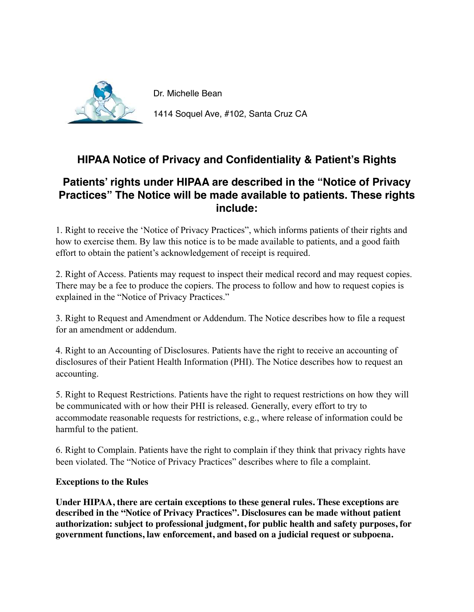

Dr. Michelle Bean

1414 Soquel Ave, #102, Santa Cruz CA

# **HIPAA Notice of Privacy and Confidentiality & Patient's Rights**

## **Patients' rights under HIPAA are described in the "Notice of Privacy Practices" The Notice will be made available to patients. These rights include:**

1. Right to receive the 'Notice of Privacy Practices", which informs patients of their rights and how to exercise them. By law this notice is to be made available to patients, and a good faith effort to obtain the patient's acknowledgement of receipt is required.

2. Right of Access. Patients may request to inspect their medical record and may request copies. There may be a fee to produce the copiers. The process to follow and how to request copies is explained in the "Notice of Privacy Practices."

3. Right to Request and Amendment or Addendum. The Notice describes how to file a request for an amendment or addendum.

4. Right to an Accounting of Disclosures. Patients have the right to receive an accounting of disclosures of their Patient Health Information (PHI). The Notice describes how to request an accounting.

5. Right to Request Restrictions. Patients have the right to request restrictions on how they will be communicated with or how their PHI is released. Generally, every effort to try to accommodate reasonable requests for restrictions, e.g., where release of information could be harmful to the patient.

6. Right to Complain. Patients have the right to complain if they think that privacy rights have been violated. The "Notice of Privacy Practices" describes where to file a complaint.

#### **Exceptions to the Rules**

**Under HIPAA, there are certain exceptions to these general rules. These exceptions are described in the "Notice of Privacy Practices". Disclosures can be made without patient authorization: subject to professional judgment, for public health and safety purposes, for government functions, law enforcement, and based on a judicial request or subpoena.**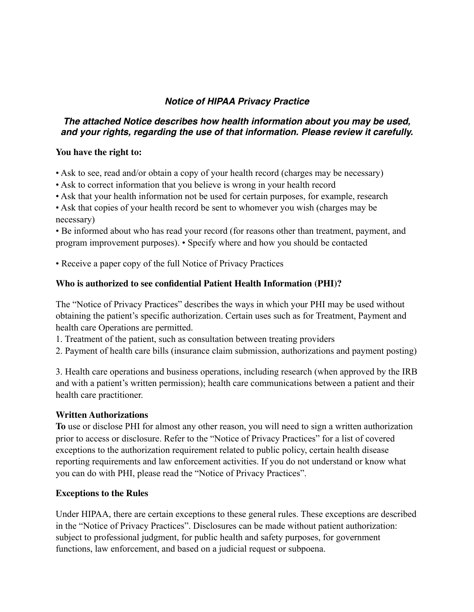#### **Notice of HIPAA Privacy Practice**

#### **The attached Notice describes how health information about you may be used, and your rights, regarding the use of that information. Please review it carefully.**

#### **You have the right to:**

- Ask to see, read and/or obtain a copy of your health record (charges may be necessary)
- Ask to correct information that you believe is wrong in your health record
- Ask that your health information not be used for certain purposes, for example, research
- Ask that copies of your health record be sent to whomever you wish (charges may be necessary)

• Be informed about who has read your record (for reasons other than treatment, payment, and program improvement purposes). • Specify where and how you should be contacted

• Receive a paper copy of the full Notice of Privacy Practices

#### **Who is authorized to see confidential Patient Health Information (PHI)?**

The "Notice of Privacy Practices" describes the ways in which your PHI may be used without obtaining the patient's specific authorization. Certain uses such as for Treatment, Payment and health care Operations are permitted.

- 1. Treatment of the patient, such as consultation between treating providers
- 2. Payment of health care bills (insurance claim submission, authorizations and payment posting)

3. Health care operations and business operations, including research (when approved by the IRB and with a patient's written permission); health care communications between a patient and their health care practitioner.

#### **Written Authorizations**

**To** use or disclose PHI for almost any other reason, you will need to sign a written authorization prior to access or disclosure. Refer to the "Notice of Privacy Practices" for a list of covered exceptions to the authorization requirement related to public policy, certain health disease reporting requirements and law enforcement activities. If you do not understand or know what you can do with PHI, please read the "Notice of Privacy Practices".

#### **Exceptions to the Rules**

Under HIPAA, there are certain exceptions to these general rules. These exceptions are described in the "Notice of Privacy Practices". Disclosures can be made without patient authorization: subject to professional judgment, for public health and safety purposes, for government functions, law enforcement, and based on a judicial request or subpoena.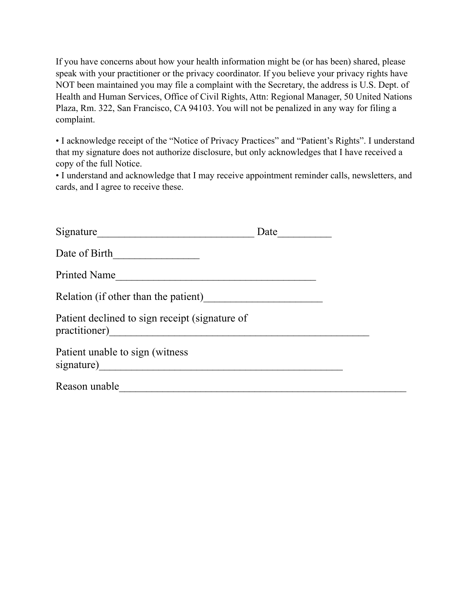If you have concerns about how your health information might be (or has been) shared, please speak with your practitioner or the privacy coordinator. If you believe your privacy rights have NOT been maintained you may file a complaint with the Secretary, the address is U.S. Dept. of Health and Human Services, Office of Civil Rights, Attn: Regional Manager, 50 United Nations Plaza, Rm. 322, San Francisco, CA 94103. You will not be penalized in any way for filing a complaint.

• I acknowledge receipt of the "Notice of Privacy Practices" and "Patient's Rights". I understand that my signature does not authorize disclosure, but only acknowledges that I have received a copy of the full Notice.

• I understand and acknowledge that I may receive appointment reminder calls, newsletters, and cards, and I agree to receive these.

| Signature                                      | Date |  |
|------------------------------------------------|------|--|
| Date of Birth                                  |      |  |
| Printed Name                                   |      |  |
| Relation (if other than the patient)           |      |  |
| Patient declined to sign receipt (signature of |      |  |
| Patient unable to sign (witness)               |      |  |
| Reason unable                                  |      |  |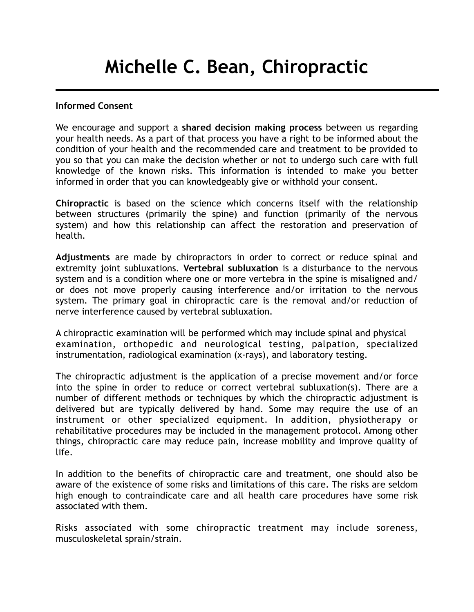# **Michelle C. Bean, Chiropractic**

#### **Informed Consent**

We encourage and support a **shared decision making process** between us regarding your health needs. As a part of that process you have a right to be informed about the condition of your health and the recommended care and treatment to be provided to you so that you can make the decision whether or not to undergo such care with full knowledge of the known risks. This information is intended to make you better informed in order that you can knowledgeably give or withhold your consent.

**Chiropractic** is based on the science which concerns itself with the relationship between structures (primarily the spine) and function (primarily of the nervous system) and how this relationship can affect the restoration and preservation of health.

**Adjustments** are made by chiropractors in order to correct or reduce spinal and extremity joint subluxations. **Vertebral subluxation** is a disturbance to the nervous system and is a condition where one or more vertebra in the spine is misaligned and/ or does not move properly causing interference and/or irritation to the nervous system. The primary goal in chiropractic care is the removal and/or reduction of nerve interference caused by vertebral subluxation.

A chiropractic examination will be performed which may include spinal and physical examination, orthopedic and neurological testing, palpation, specialized instrumentation, radiological examination (x-rays), and laboratory testing.

The chiropractic adjustment is the application of a precise movement and/or force into the spine in order to reduce or correct vertebral subluxation(s). There are a number of different methods or techniques by which the chiropractic adjustment is delivered but are typically delivered by hand. Some may require the use of an instrument or other specialized equipment. In addition, physiotherapy or rehabilitative procedures may be included in the management protocol. Among other things, chiropractic care may reduce pain, increase mobility and improve quality of life.

In addition to the benefits of chiropractic care and treatment, one should also be aware of the existence of some risks and limitations of this care. The risks are seldom high enough to contraindicate care and all health care procedures have some risk associated with them.

Risks associated with some chiropractic treatment may include soreness, musculoskeletal sprain/strain.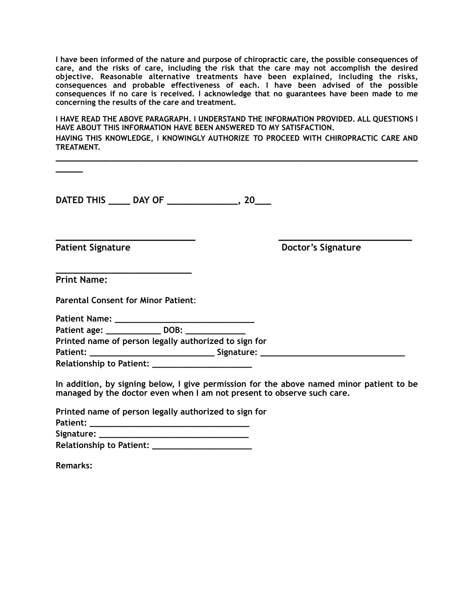**I have been informed of the nature and purpose of chiropractic care, the possible consequences of care, and the risks of care, including the risk that the care may not accomplish the desired objective. Reasonable alternative treatments have been explained, including the risks, consequences and probable effectiveness of each. I have been advised of the possible consequences if no care is received. I acknowledge that no guarantees have been made to me concerning the results of the care and treatment.** 

**I HAVE READ THE ABOVE PARAGRAPH. I UNDERSTAND THE INFORMATION PROVIDED. ALL QUESTIONS I HAVE ABOUT THIS INFORMATION HAVE BEEN ANSWERED TO MY SATISFACTION. HAVING THIS KNOWLEDGE, I KNOWINGLY AUTHORIZE TO PROCEED WITH CHIROPRACTIC CARE AND TREATMENT.**

| DATED THIS _____ DAY OF _______________, 20___                                                                                                                                                                                                               |                           |
|--------------------------------------------------------------------------------------------------------------------------------------------------------------------------------------------------------------------------------------------------------------|---------------------------|
| an di sebagai kecamaan di sebagai kecamaan di sebagai kecamaan di sebagai kecamaan di sebagai kecamaan di seba<br>Sebagai kecamaan di sebagai kecamaan di sebagai kecamaan di sebagai kecamaan di sebagai kecamaan di sebagai ke<br><b>Patient Signature</b> | <b>Doctor's Signature</b> |
|                                                                                                                                                                                                                                                              |                           |
| <u>. Kan ang pagpagpagpang pagpagpang pagpagpang pagpagpang pagpagpang pagpagpang pagpagpang pagpagpang pagpagpang pagpagpang pagpagpang pagpagpang pagpagpang pagpagpang pagpagpang pagpagpang pagpagpang pagpagpang pagpagpang</u><br><b>Print Name:</b>   |                           |
| <b>Parental Consent for Minor Patient:</b>                                                                                                                                                                                                                   |                           |
|                                                                                                                                                                                                                                                              |                           |
| Patient age: _______________ DOB: ______________                                                                                                                                                                                                             |                           |
| Printed name of person legally authorized to sign for                                                                                                                                                                                                        |                           |
|                                                                                                                                                                                                                                                              |                           |
| Relationship to Patient: _______________________                                                                                                                                                                                                             |                           |
| In addition, by signing below, I give permission for the above named minor patient to be<br>managed by the doctor even when I am not present to observe such care.                                                                                           |                           |
| <b>Professor Construction Construction Construction Construction Construction Construction Construction Construction</b>                                                                                                                                     |                           |

|                          | Printed name of person legally authorized to sign for |
|--------------------------|-------------------------------------------------------|
| Patient:                 |                                                       |
| Signature:               |                                                       |
| Relationship to Patient: |                                                       |

**Remarks:**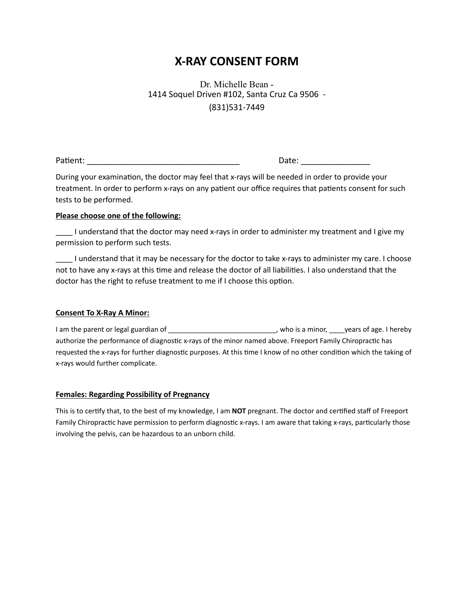## **X-RAY CONSENT FORM**

Dr. Michelle Bean - 1414 Soquel Driven #102, Santa Cruz Ca 9506 - (831)531-7449

PaAent: \_\_\_\_\_\_\_\_\_\_\_\_\_\_\_\_\_\_\_\_\_\_\_\_\_\_\_\_\_\_\_\_\_ Date: \_\_\_\_\_\_\_\_\_\_\_\_\_\_\_

During your examination, the doctor may feel that x-rays will be needed in order to provide your treatment. In order to perform x-rays on any patient our office requires that patients consent for such tests to be performed.

#### **Please choose one of the following:**

\_\_\_\_ I understand that the doctor may need x-rays in order to administer my treatment and I give my permission to perform such tests.

\_\_\_\_ I understand that it may be necessary for the doctor to take x-rays to administer my care. I choose not to have any x-rays at this time and release the doctor of all liabilities. I also understand that the doctor has the right to refuse treatment to me if I choose this option.

#### **Consent To X-Ray A Minor:**

I am the parent or legal guardian of \_\_\_\_\_\_\_\_\_\_\_\_\_\_\_\_\_\_\_\_\_\_\_\_\_\_\_\_, who is a minor, \_\_\_\_years of age. I hereby authorize the performance of diagnostic x-rays of the minor named above. Freeport Family Chiropractic has requested the x-rays for further diagnostic purposes. At this time I know of no other condition which the taking of x-rays would further complicate.

#### **Females: Regarding Possibility of Pregnancy**

This is to certify that, to the best of my knowledge, I am **NOT** pregnant. The doctor and certified staff of Freeport Family Chiropractic have permission to perform diagnostic x-rays. I am aware that taking x-rays, particularly those involving the pelvis, can be hazardous to an unborn child.